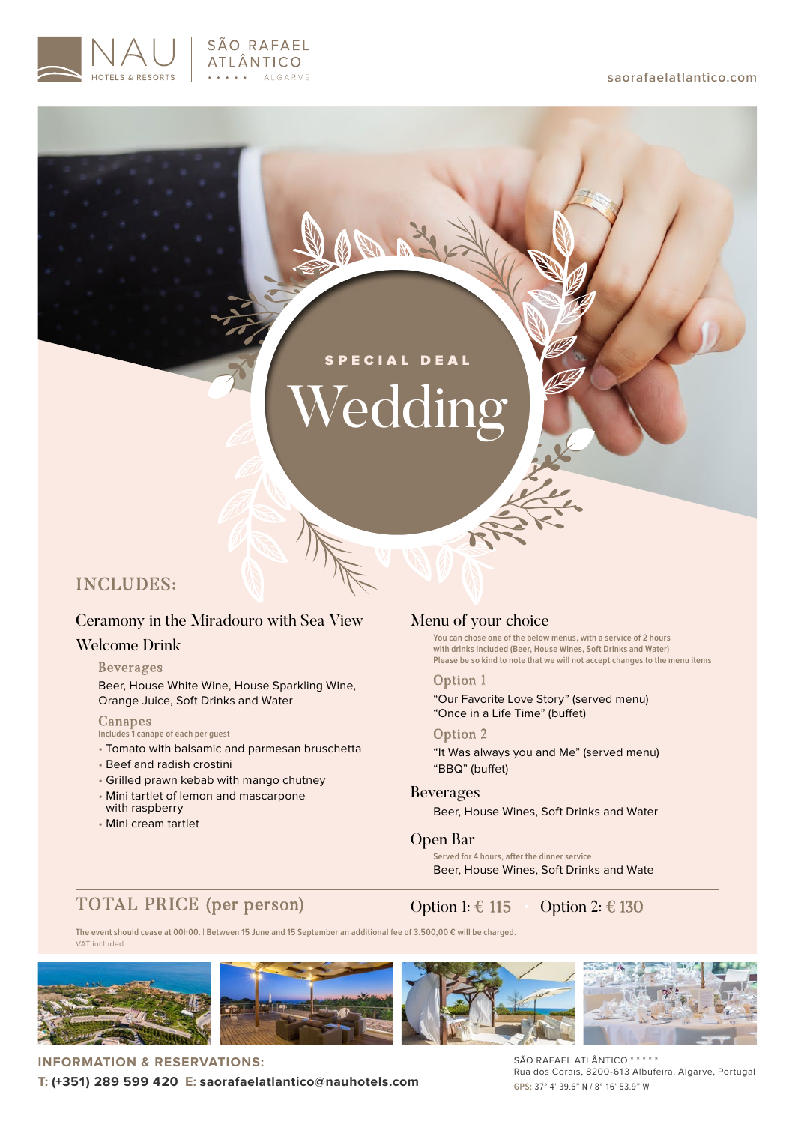#### **saorafaelatlantico.com**



# *Tedding* SPECIAL DEAL

# INCLUDES:

# Ceramony in the Miradouro with Sea View

# Welcome Drink

## Beverages

Beer, House White Wine, House Sparkling Wine, Orange Juice, Soft Drinks and Water

## Canapes

**Includes 1 canape of each per guest**

- Tomato with balsamic and parmesan bruschetta
- Beef and radish crostini
- Grilled prawn kebab with mango chutney
- Mini tartlet of lemon and mascarpone with raspberry
- Mini cream tartlet

## Menu of your choice

**You can chose one of the below menus, with a service of 2 hours with drinks included (Beer, House Wines, Soft Drinks and Water) Please be so kind to note that we will not accept changes to the menu items**

Option 1 "Our Favorite Love Story" (served menu) "Once in a Life Time" (buffet)

Option 2 "It Was always you and Me" (served menu) "BBQ" (buffet)

## Beverages

Beer, House Wines, Soft Drinks and Water

## Open Bar

**Served for 4 hours, after the dinner service** Beer, House Wines, Soft Drinks and Wate

# TOTAL PRICE (per person)

Option 1:  $\in$  115 • Option 2:  $\in$  130

VAT included **The event should cease at 00h00. | Between 15 June and 15 September an additional fee of 3.500,00 € will be charged.**



**INFORMATION & RESERVATIONS: T: (+351) 289 599 420 E: saorafaelatlantico@nauhotels.com** SÃO RAFAEL ATLÂNTICO \* \* \* \* \* Rua dos Corais, 8200-613 Albufeira, Algarve, Portugal **GPS:** 37° 4' 39.6" N / 8° 16' 53.9" W